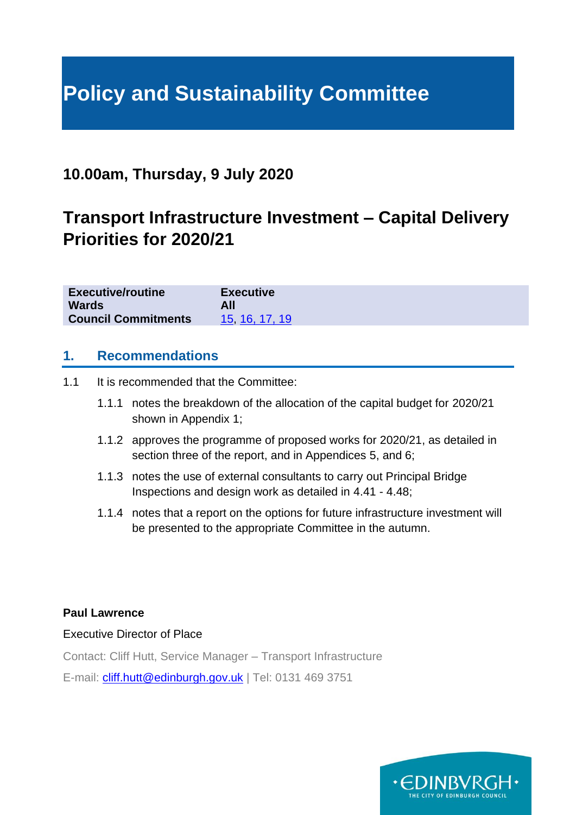# **Policy and Sustainability Committee**

## **10.00am, Thursday, 9 July 2020**

## **Transport Infrastructure Investment – Capital Delivery Priorities for 2020/21**

| <b>Executive/routine</b>   | <b>Executive</b> |
|----------------------------|------------------|
| <b>Wards</b>               | All              |
| <b>Council Commitments</b> | 15, 16, 17, 19   |

## **1. Recommendations**

1.1 It is recommended that the Committee:

- 1.1.1 notes the breakdown of the allocation of the capital budget for 2020/21 shown in Appendix 1;
- 1.1.2 approves the programme of proposed works for 2020/21, as detailed in section three of the report, and in Appendices 5, and 6;
- 1.1.3 notes the use of external consultants to carry out Principal Bridge Inspections and design work as detailed in 4.41 - 4.48;
- 1.1.4 notes that a report on the options for future infrastructure investment will be presented to the appropriate Committee in the autumn.

#### **Paul Lawrence**

Executive Director of Place

Contact: Cliff Hutt, Service Manager – Transport Infrastructure

E-mail: [cliff.hutt@edinburgh.gov.uk](mailto:cliff.hutt@edinburgh.gov.uk) | Tel: 0131 469 3751

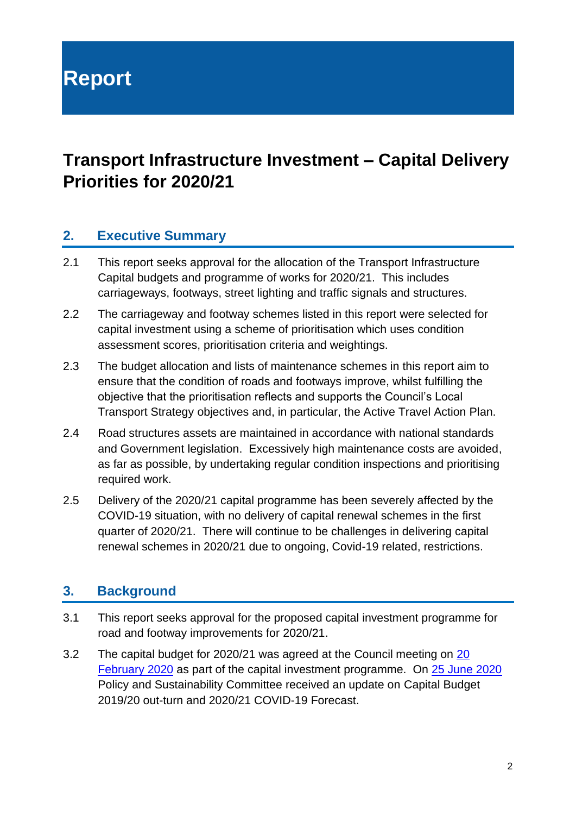**Report**

## **Transport Infrastructure Investment – Capital Delivery Priorities for 2020/21**

## **2. Executive Summary**

- 2.1 This report seeks approval for the allocation of the Transport Infrastructure Capital budgets and programme of works for 2020/21. This includes carriageways, footways, street lighting and traffic signals and structures.
- 2.2 The carriageway and footway schemes listed in this report were selected for capital investment using a scheme of prioritisation which uses condition assessment scores, prioritisation criteria and weightings.
- 2.3 The budget allocation and lists of maintenance schemes in this report aim to ensure that the condition of roads and footways improve, whilst fulfilling the objective that the prioritisation reflects and supports the Council's Local Transport Strategy objectives and, in particular, the Active Travel Action Plan.
- 2.4 Road structures assets are maintained in accordance with national standards and Government legislation. Excessively high maintenance costs are avoided, as far as possible, by undertaking regular condition inspections and prioritising required work.
- 2.5 Delivery of the 2020/21 capital programme has been severely affected by the COVID-19 situation, with no delivery of capital renewal schemes in the first quarter of 2020/21. There will continue to be challenges in delivering capital renewal schemes in 2020/21 due to ongoing, Covid-19 related, restrictions.

## **3. Background**

- 3.1 This report seeks approval for the proposed capital investment programme for road and footway improvements for 2020/21.
- 3.2 The capital budget for 2020/21 was agreed at the Council meeting on [20](https://democracy.edinburgh.gov.uk/documents/s14099/Item%204.2%20-%20Capital%20Budget%20Strategy%202020-2030%20-%20Referral%20from%20FR.pdf)  [February 2020](https://democracy.edinburgh.gov.uk/documents/s14099/Item%204.2%20-%20Capital%20Budget%20Strategy%202020-2030%20-%20Referral%20from%20FR.pdf) as part of the capital investment programme. On [25 June 2020](https://democracy.edinburgh.gov.uk/documents/s24507/Item%206.4%20-%20Capital%20Budget%20Update%202019-20%20Provisional%20Outturn%20and%202020-21%20COVID-19%20Forecast.pdf) Policy and Sustainability Committee received an update on Capital Budget 2019/20 out-turn and 2020/21 COVID-19 Forecast.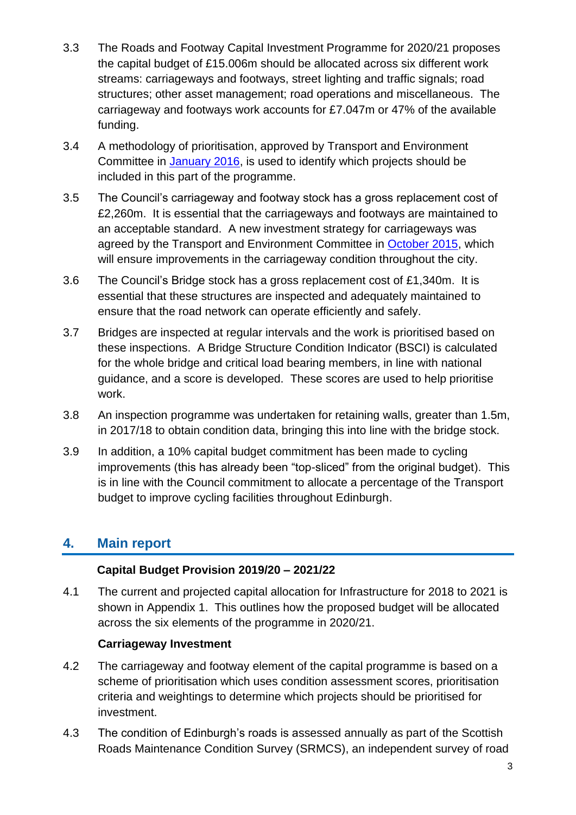- 3.3 The Roads and Footway Capital Investment Programme for 2020/21 proposes the capital budget of £15.006m should be allocated across six different work streams: carriageways and footways, street lighting and traffic signals; road structures; other asset management; road operations and miscellaneous. The carriageway and footways work accounts for £7.047m or 47% of the available funding.
- 3.4 A methodology of prioritisation, approved by Transport and Environment Committee in [January 2016,](https://democracy.edinburgh.gov.uk/Data/Transport%20and%20Environment%20Committee/20160112/Agenda/item_76_-_road_footway_and_bridges_investment_-_capital_programme_for_201617.pdf) is used to identify which projects should be included in this part of the programme.
- 3.5 The Council's carriageway and footway stock has a gross replacement cost of £2,260m. It is essential that the carriageways and footways are maintained to an acceptable standard. A new investment strategy for carriageways was agreed by the Transport and Environment Committee in [October 2015,](http://www.edinburgh.gov.uk/meetings/meeting/3784/transport_and_environment_committee) which will ensure improvements in the carriageway condition throughout the city.
- 3.6 The Council's Bridge stock has a gross replacement cost of £1,340m. It is essential that these structures are inspected and adequately maintained to ensure that the road network can operate efficiently and safely.
- 3.7 Bridges are inspected at regular intervals and the work is prioritised based on these inspections. A Bridge Structure Condition Indicator (BSCI) is calculated for the whole bridge and critical load bearing members, in line with national guidance, and a score is developed. These scores are used to help prioritise work.
- 3.8 An inspection programme was undertaken for retaining walls, greater than 1.5m, in 2017/18 to obtain condition data, bringing this into line with the bridge stock.
- 3.9 In addition, a 10% capital budget commitment has been made to cycling improvements (this has already been "top-sliced" from the original budget). This is in line with the Council commitment to allocate a percentage of the Transport budget to improve cycling facilities throughout Edinburgh.

## **4. Main report**

### **Capital Budget Provision 2019/20 – 2021/22**

4.1 The current and projected capital allocation for Infrastructure for 2018 to 2021 is shown in [Appendix 1.](#page-11-0) This outlines how the proposed budget will be allocated across the six elements of the programme in 2020/21.

### **Carriageway Investment**

- 4.2 The carriageway and footway element of the capital programme is based on a scheme of prioritisation which uses condition assessment scores, prioritisation criteria and weightings to determine which projects should be prioritised for investment.
- 4.3 The condition of Edinburgh's roads is assessed annually as part of the Scottish Roads Maintenance Condition Survey (SRMCS), an independent survey of road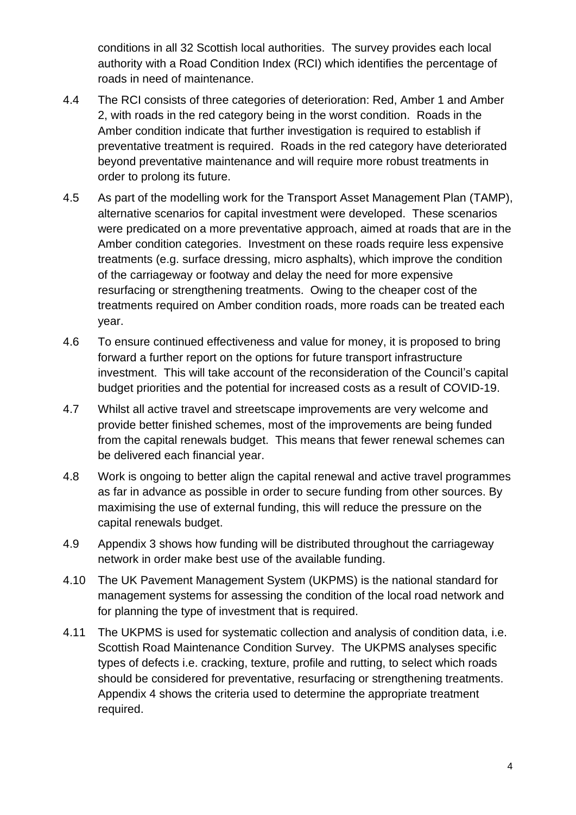conditions in all 32 Scottish local authorities. The survey provides each local authority with a Road Condition Index (RCI) which identifies the percentage of roads in need of maintenance.

- 4.4 The RCI consists of three categories of deterioration: Red, Amber 1 and Amber 2, with roads in the red category being in the worst condition. Roads in the Amber condition indicate that further investigation is required to establish if preventative treatment is required. Roads in the red category have deteriorated beyond preventative maintenance and will require more robust treatments in order to prolong its future.
- 4.5 As part of the modelling work for the Transport Asset Management Plan (TAMP), alternative scenarios for capital investment were developed. These scenarios were predicated on a more preventative approach, aimed at roads that are in the Amber condition categories. Investment on these roads require less expensive treatments (e.g. surface dressing, micro asphalts), which improve the condition of the carriageway or footway and delay the need for more expensive resurfacing or strengthening treatments. Owing to the cheaper cost of the treatments required on Amber condition roads, more roads can be treated each year.
- 4.6 To ensure continued effectiveness and value for money, it is proposed to bring forward a further report on the options for future transport infrastructure investment. This will take account of the reconsideration of the Council's capital budget priorities and the potential for increased costs as a result of COVID-19.
- 4.7 Whilst all active travel and streetscape improvements are very welcome and provide better finished schemes, most of the improvements are being funded from the capital renewals budget. This means that fewer renewal schemes can be delivered each financial year.
- 4.8 Work is ongoing to better align the capital renewal and active travel programmes as far in advance as possible in order to secure funding from other sources. By maximising the use of external funding, this will reduce the pressure on the capital renewals budget.
- 4.9 Appendix 3 shows how funding will be distributed throughout the carriageway network in order make best use of the available funding.
- 4.10 The UK Pavement Management System (UKPMS) is the national standard for management systems for assessing the condition of the local road network and for planning the type of investment that is required.
- 4.11 The UKPMS is used for systematic collection and analysis of condition data, i.e. Scottish Road Maintenance Condition Survey. The UKPMS analyses specific types of defects i.e. cracking, texture, profile and rutting, to select which roads should be considered for preventative, resurfacing or strengthening treatments. Appendix 4 shows the criteria used to determine the appropriate treatment required.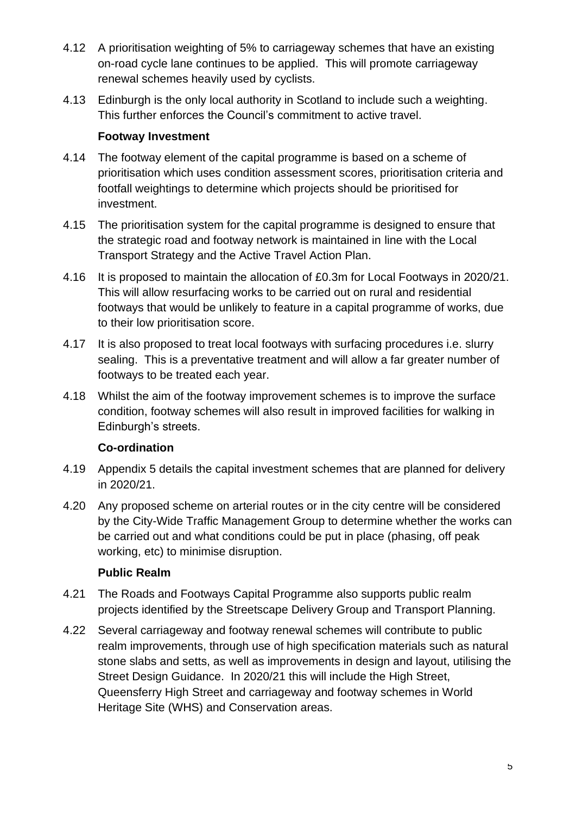- 4.12 A prioritisation weighting of 5% to carriageway schemes that have an existing on-road cycle lane continues to be applied. This will promote carriageway renewal schemes heavily used by cyclists.
- 4.13 Edinburgh is the only local authority in Scotland to include such a weighting. This further enforces the Council's commitment to active travel.

### **Footway Investment**

- 4.14 The footway element of the capital programme is based on a scheme of prioritisation which uses condition assessment scores, prioritisation criteria and footfall weightings to determine which projects should be prioritised for investment.
- 4.15 The prioritisation system for the capital programme is designed to ensure that the strategic road and footway network is maintained in line with the Local Transport Strategy and the Active Travel Action Plan.
- 4.16 It is proposed to maintain the allocation of £0.3m for Local Footways in 2020/21. This will allow resurfacing works to be carried out on rural and residential footways that would be unlikely to feature in a capital programme of works, due to their low prioritisation score.
- 4.17 It is also proposed to treat local footways with surfacing procedures i.e. slurry sealing. This is a preventative treatment and will allow a far greater number of footways to be treated each year.
- 4.18 Whilst the aim of the footway improvement schemes is to improve the surface condition, footway schemes will also result in improved facilities for walking in Edinburgh's streets.

### **Co-ordination**

- 4.19 Appendix 5 details the capital investment schemes that are planned for delivery in 2020/21.
- 4.20 Any proposed scheme on arterial routes or in the city centre will be considered by the City-Wide Traffic Management Group to determine whether the works can be carried out and what conditions could be put in place (phasing, off peak working, etc) to minimise disruption.

### **Public Realm**

- 4.21 The Roads and Footways Capital Programme also supports public realm projects identified by the Streetscape Delivery Group and Transport Planning.
- 4.22 Several carriageway and footway renewal schemes will contribute to public realm improvements, through use of high specification materials such as natural stone slabs and setts, as well as improvements in design and layout, utilising the Street Design Guidance. In 2020/21 this will include the High Street, Queensferry High Street and carriageway and footway schemes in World Heritage Site (WHS) and Conservation areas.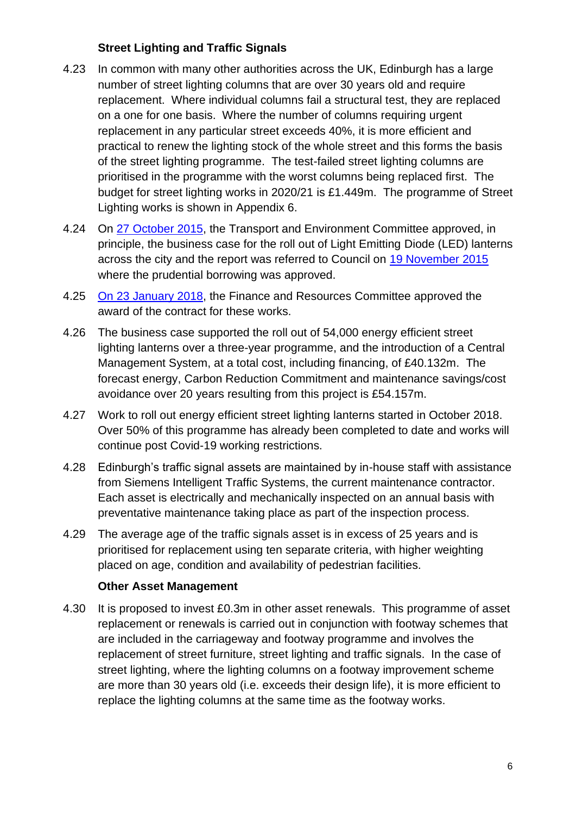### **Street Lighting and Traffic Signals**

- 4.23 In common with many other authorities across the UK, Edinburgh has a large number of street lighting columns that are over 30 years old and require replacement. Where individual columns fail a structural test, they are replaced on a one for one basis. Where the number of columns requiring urgent replacement in any particular street exceeds 40%, it is more efficient and practical to renew the lighting stock of the whole street and this forms the basis of the street lighting programme. The test-failed street lighting columns are prioritised in the programme with the worst columns being replaced first. The budget for street lighting works in 2020/21 is £1.449m. The programme of Street Lighting works is shown in Appendix 6.
- 4.24 On [27 October 2015,](http://www.edinburgh.gov.uk/meetings/meeting/3784/transport_and_environment_committee) the Transport and Environment Committee approved, in principle, the business case for the roll out of Light Emitting Diode (LED) lanterns across the city and the report was referred to Council on [19 November 2015](http://www.edinburgh.gov.uk/meetings/meeting/3806/city_of_edinburgh_council) where the prudential borrowing was approved.
- 4.25 [On 23 January 2018,](http://www.edinburgh.gov.uk/meetings/meeting/4309/finance_and_resources_committee) the Finance and Resources Committee approved the award of the contract for these works.
- 4.26 The business case supported the roll out of 54,000 energy efficient street lighting lanterns over a three-year programme, and the introduction of a Central Management System, at a total cost, including financing, of £40.132m. The forecast energy, Carbon Reduction Commitment and maintenance savings/cost avoidance over 20 years resulting from this project is £54.157m.
- 4.27 Work to roll out energy efficient street lighting lanterns started in October 2018. Over 50% of this programme has already been completed to date and works will continue post Covid-19 working restrictions.
- 4.28 Edinburgh's traffic signal assets are maintained by in-house staff with assistance from Siemens Intelligent Traffic Systems, the current maintenance contractor. Each asset is electrically and mechanically inspected on an annual basis with preventative maintenance taking place as part of the inspection process.
- 4.29 The average age of the traffic signals asset is in excess of 25 years and is prioritised for replacement using ten separate criteria, with higher weighting placed on age, condition and availability of pedestrian facilities.

#### **Other Asset Management**

4.30 It is proposed to invest £0.3m in other asset renewals. This programme of asset replacement or renewals is carried out in conjunction with footway schemes that are included in the carriageway and footway programme and involves the replacement of street furniture, street lighting and traffic signals. In the case of street lighting, where the lighting columns on a footway improvement scheme are more than 30 years old (i.e. exceeds their design life), it is more efficient to replace the lighting columns at the same time as the footway works.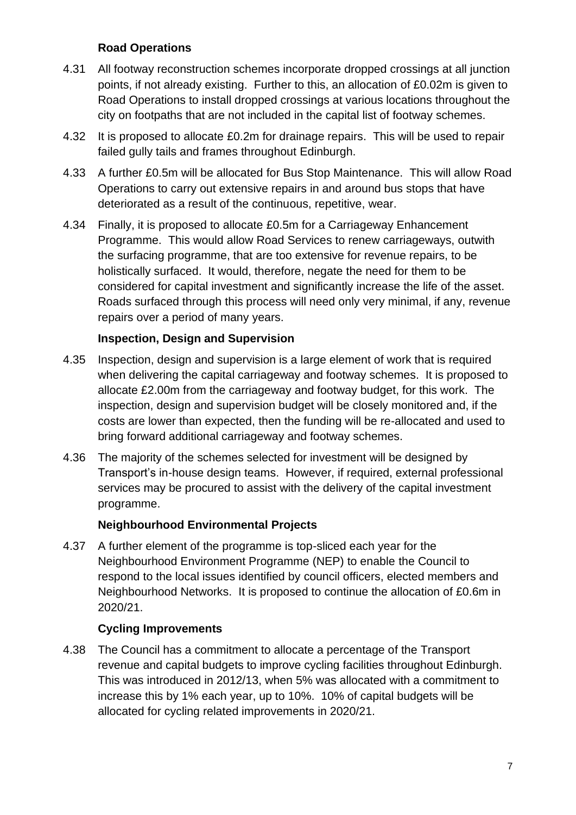### **Road Operations**

- 4.31 All footway reconstruction schemes incorporate dropped crossings at all junction points, if not already existing. Further to this, an allocation of £0.02m is given to Road Operations to install dropped crossings at various locations throughout the city on footpaths that are not included in the capital list of footway schemes.
- 4.32 It is proposed to allocate £0.2m for drainage repairs. This will be used to repair failed gully tails and frames throughout Edinburgh.
- 4.33 A further £0.5m will be allocated for Bus Stop Maintenance. This will allow Road Operations to carry out extensive repairs in and around bus stops that have deteriorated as a result of the continuous, repetitive, wear.
- 4.34 Finally, it is proposed to allocate £0.5m for a Carriageway Enhancement Programme. This would allow Road Services to renew carriageways, outwith the surfacing programme, that are too extensive for revenue repairs, to be holistically surfaced. It would, therefore, negate the need for them to be considered for capital investment and significantly increase the life of the asset. Roads surfaced through this process will need only very minimal, if any, revenue repairs over a period of many years.

### **Inspection, Design and Supervision**

- 4.35 Inspection, design and supervision is a large element of work that is required when delivering the capital carriageway and footway schemes. It is proposed to allocate £2.00m from the carriageway and footway budget, for this work. The inspection, design and supervision budget will be closely monitored and, if the costs are lower than expected, then the funding will be re-allocated and used to bring forward additional carriageway and footway schemes.
- 4.36 The majority of the schemes selected for investment will be designed by Transport's in-house design teams. However, if required, external professional services may be procured to assist with the delivery of the capital investment programme.

### **Neighbourhood Environmental Projects**

4.37 A further element of the programme is top-sliced each year for the Neighbourhood Environment Programme (NEP) to enable the Council to respond to the local issues identified by council officers, elected members and Neighbourhood Networks. It is proposed to continue the allocation of £0.6m in 2020/21.

#### **Cycling Improvements**

4.38 The Council has a commitment to allocate a percentage of the Transport revenue and capital budgets to improve cycling facilities throughout Edinburgh. This was introduced in 2012/13, when 5% was allocated with a commitment to increase this by 1% each year, up to 10%. 10% of capital budgets will be allocated for cycling related improvements in 2020/21.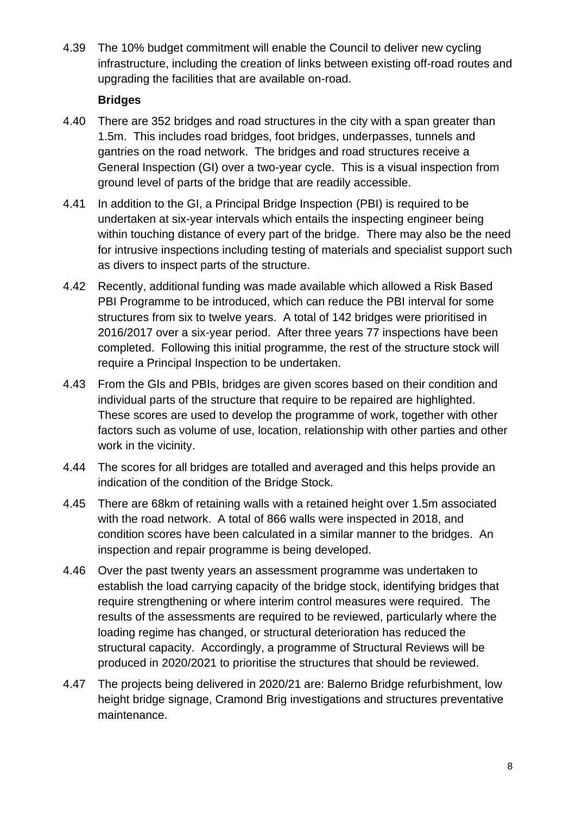4.39 The 10% budget commitment will enable the Council to deliver new cycling infrastructure, including the creation of links between existing off-road routes and upgrading the facilities that are available on-road.

### **Bridges**

- 4.40 There are 352 bridges and road structures in the city with a span greater than 1.5m. This includes road bridges, foot bridges, underpasses, tunnels and gantries on the road network. The bridges and road structures receive a General Inspection (GI) over a two-year cycle. This is a visual inspection from ground level of parts of the bridge that are readily accessible.
- 4.41 In addition to the GI, a Principal Bridge Inspection (PBI) is required to be undertaken at six-year intervals which entails the inspecting engineer being within touching distance of every part of the bridge. There may also be the need for intrusive inspections including testing of materials and specialist support such as divers to inspect parts of the structure.
- 4.42 Recently, additional funding was made available which allowed a Risk Based PBI Programme to be introduced, which can reduce the PBI interval for some structures from six to twelve years. A total of 142 bridges were prioritised in 2016/2017 over a six-year period. After three years 77 inspections have been completed. Following this initial programme, the rest of the structure stock will require a Principal Inspection to be undertaken.
- 4.43 From the GIs and PBIs, bridges are given scores based on their condition and individual parts of the structure that require to be repaired are highlighted. These scores are used to develop the programme of work, together with other factors such as volume of use, location, relationship with other parties and other work in the vicinity.
- 4.44 The scores for all bridges are totalled and averaged and this helps provide an indication of the condition of the Bridge Stock.
- 4.45 There are 68km of retaining walls with a retained height over 1.5m associated with the road network. A total of 866 walls were inspected in 2018, and condition scores have been calculated in a similar manner to the bridges. An inspection and repair programme is being developed.
- 4.46 Over the past twenty years an assessment programme was undertaken to establish the load carrying capacity of the bridge stock, identifying bridges that require strengthening or where interim control measures were required. The results of the assessments are required to be reviewed, particularly where the loading regime has changed, or structural deterioration has reduced the structural capacity. Accordingly, a programme of Structural Reviews will be produced in 2020/2021 to prioritise the structures that should be reviewed.
- 4.47 The projects being delivered in 2020/21 are: Balerno Bridge refurbishment, low height bridge signage, Cramond Brig investigations and structures preventative maintenance.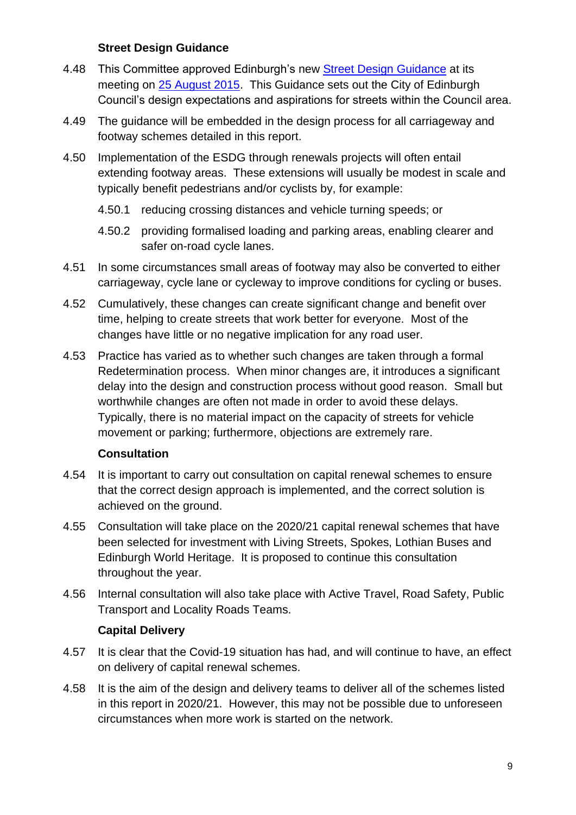#### **Street Design Guidance**

- 4.48 This Committee approved Edinburgh's new Street Design Guidance at its meeting on [25 August 2015.](http://www.edinburgh.gov.uk/meetings/meeting/3735/transport_and_environment_committee) This Guidance sets out the City of Edinburgh Council's design expectations and aspirations for streets within the Council area.
- 4.49 The guidance will be embedded in the design process for all carriageway and footway schemes detailed in this report.
- 4.50 Implementation of the ESDG through renewals projects will often entail extending footway areas. These extensions will usually be modest in scale and typically benefit pedestrians and/or cyclists by, for example:
	- 4.50.1 reducing crossing distances and vehicle turning speeds; or
	- 4.50.2 providing formalised loading and parking areas, enabling clearer and safer on-road cycle lanes.
- 4.51 In some circumstances small areas of footway may also be converted to either carriageway, cycle lane or cycleway to improve conditions for cycling or buses.
- 4.52 Cumulatively, these changes can create significant change and benefit over time, helping to create streets that work better for everyone. Most of the changes have little or no negative implication for any road user.
- 4.53 Practice has varied as to whether such changes are taken through a formal Redetermination process. When minor changes are, it introduces a significant delay into the design and construction process without good reason. Small but worthwhile changes are often not made in order to avoid these delays. Typically, there is no material impact on the capacity of streets for vehicle movement or parking; furthermore, objections are extremely rare.

#### **Consultation**

- 4.54 It is important to carry out consultation on capital renewal schemes to ensure that the correct design approach is implemented, and the correct solution is achieved on the ground.
- 4.55 Consultation will take place on the 2020/21 capital renewal schemes that have been selected for investment with Living Streets, Spokes, Lothian Buses and Edinburgh World Heritage. It is proposed to continue this consultation throughout the year.
- 4.56 Internal consultation will also take place with Active Travel, Road Safety, Public Transport and Locality Roads Teams.

#### **Capital Delivery**

- 4.57 It is clear that the Covid-19 situation has had, and will continue to have, an effect on delivery of capital renewal schemes.
- 4.58 It is the aim of the design and delivery teams to deliver all of the schemes listed in this report in 2020/21. However, this may not be possible due to unforeseen circumstances when more work is started on the network.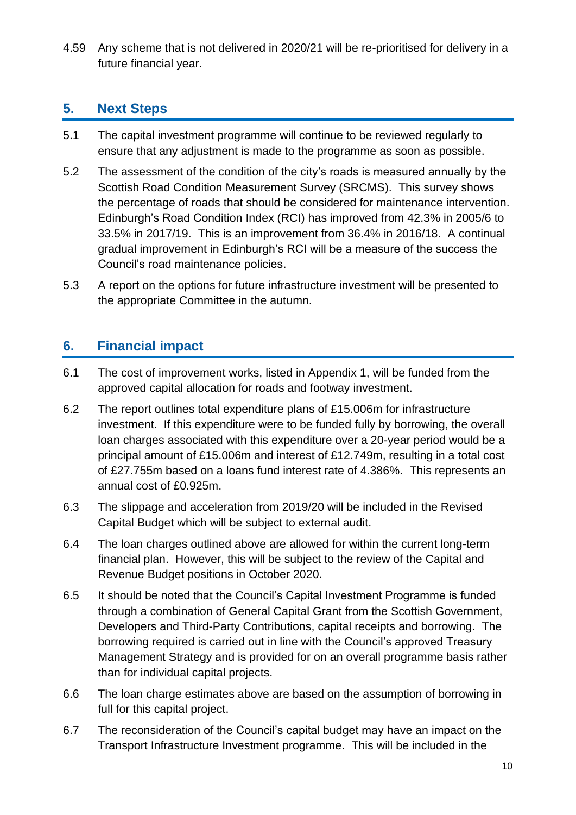4.59 Any scheme that is not delivered in 2020/21 will be re-prioritised for delivery in a future financial year.

## **5. Next Steps**

- 5.1 The capital investment programme will continue to be reviewed regularly to ensure that any adjustment is made to the programme as soon as possible.
- 5.2 The assessment of the condition of the city's roads is measured annually by the Scottish Road Condition Measurement Survey (SRCMS). This survey shows the percentage of roads that should be considered for maintenance intervention. Edinburgh's Road Condition Index (RCI) has improved from 42.3% in 2005/6 to 33.5% in 2017/19. This is an improvement from 36.4% in 2016/18. A continual gradual improvement in Edinburgh's RCI will be a measure of the success the Council's road maintenance policies.
- 5.3 A report on the options for future infrastructure investment will be presented to the appropriate Committee in the autumn.

## **6. Financial impact**

- 6.1 The cost of improvement works, listed in Appendix 1, will be funded from the approved capital allocation for roads and footway investment.
- 6.2 The report outlines total expenditure plans of £15.006m for infrastructure investment. If this expenditure were to be funded fully by borrowing, the overall loan charges associated with this expenditure over a 20-year period would be a principal amount of £15.006m and interest of £12.749m, resulting in a total cost of £27.755m based on a loans fund interest rate of 4.386%. This represents an annual cost of £0.925m.
- 6.3 The slippage and acceleration from 2019/20 will be included in the Revised Capital Budget which will be subject to external audit.
- 6.4 The loan charges outlined above are allowed for within the current long-term financial plan. However, this will be subject to the review of the Capital and Revenue Budget positions in October 2020.
- 6.5 It should be noted that the Council's Capital Investment Programme is funded through a combination of General Capital Grant from the Scottish Government, Developers and Third-Party Contributions, capital receipts and borrowing. The borrowing required is carried out in line with the Council's approved Treasury Management Strategy and is provided for on an overall programme basis rather than for individual capital projects.
- 6.6 The loan charge estimates above are based on the assumption of borrowing in full for this capital project.
- 6.7 The reconsideration of the Council's capital budget may have an impact on the Transport Infrastructure Investment programme. This will be included in the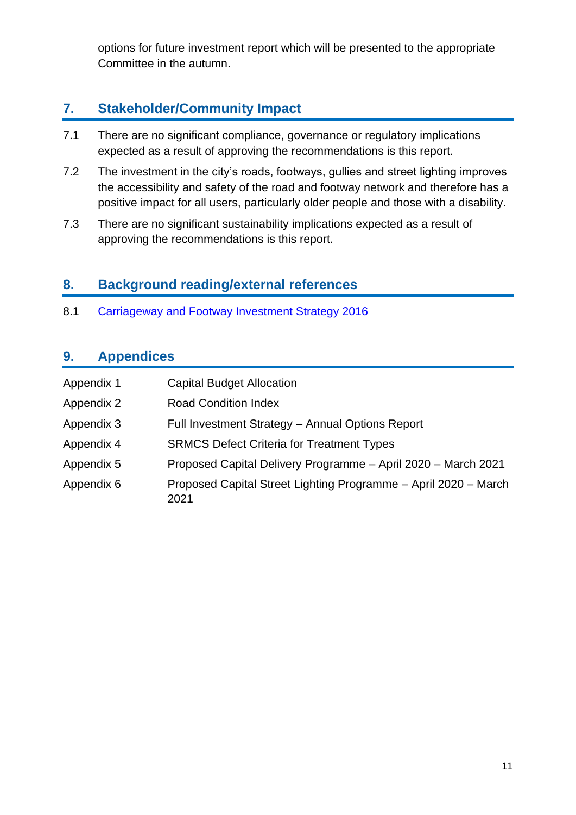options for future investment report which will be presented to the appropriate Committee in the autumn.

## **7. Stakeholder/Community Impact**

- 7.1 There are no significant compliance, governance or regulatory implications expected as a result of approving the recommendations is this report.
- 7.2 The investment in the city's roads, footways, gullies and street lighting improves the accessibility and safety of the road and footway network and therefore has a positive impact for all users, particularly older people and those with a disability.
- 7.3 There are no significant sustainability implications expected as a result of approving the recommendations is this report.

## **8. Background reading/external references**

8.1 [Carriageway and Footway Investment Strategy 2016](http://www.edinburgh.gov.uk/meetings/meeting/3784/transport_and_environment_committee)

## **9. Appendices**

| Appendix 1 | <b>Capital Budget Allocation</b>                                        |
|------------|-------------------------------------------------------------------------|
| Appendix 2 | <b>Road Condition Index</b>                                             |
| Appendix 3 | Full Investment Strategy - Annual Options Report                        |
| Appendix 4 | <b>SRMCS Defect Criteria for Treatment Types</b>                        |
| Appendix 5 | Proposed Capital Delivery Programme - April 2020 - March 2021           |
| Appendix 6 | Proposed Capital Street Lighting Programme - April 2020 - March<br>2021 |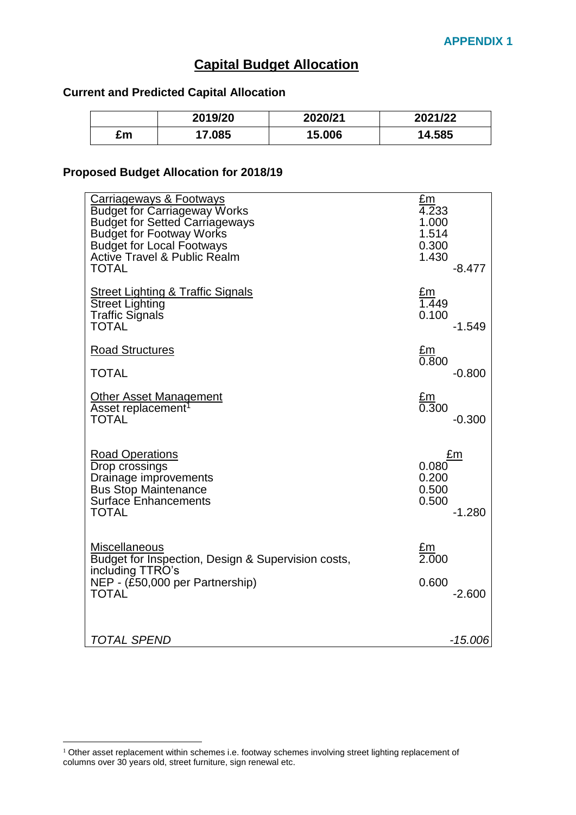## **Capital Budget Allocation**

#### <span id="page-11-0"></span>**Current and Predicted Capital Allocation**

|    | 2019/20 | 2020/21 | 2021/22 |
|----|---------|---------|---------|
| £m | 7.085   | 15.006  | 14.585  |

#### **Proposed Budget Allocation for 2018/19**

| <u>Carriageways &amp; Footways</u><br><b>Budget for Carriageway Works</b><br><b>Budget for Setted Carriageways</b><br><b>Budget for Footway Works</b><br><b>Budget for Local Footways</b><br><b>Active Travel &amp; Public Realm</b><br><b>TOTAL</b> | <u>£m</u><br>4.233<br>1.000<br>1.514<br>0.300<br>1.430<br>$-8.477$ |
|------------------------------------------------------------------------------------------------------------------------------------------------------------------------------------------------------------------------------------------------------|--------------------------------------------------------------------|
| <b>Street Lighting &amp; Traffic Signals</b><br><b>Street Lighting</b><br><b>Traffic Signals</b><br><b>TOTAL</b>                                                                                                                                     | <u>£m</u><br>1.449<br>0.100<br>$-1.549$                            |
| <b>Road Structures</b>                                                                                                                                                                                                                               | $\frac{\text{Em}}{\text{0.800}}$                                   |
| <b>TOTAL</b>                                                                                                                                                                                                                                         | $-0.800$                                                           |
| Other Asset Management<br>Asset replacement <sup>1</sup><br><b>TOTAL</b>                                                                                                                                                                             | <u>£m</u><br>0.300<br>$-0.300$                                     |
| <b>Road Operations</b><br>Drop crossings<br>Drainage improvements<br><b>Bus Stop Maintenance</b><br><b>Surface Enhancements</b><br>TOTAL                                                                                                             | £m<br>0.080<br>0.200<br>0.500<br>0.500<br>$-1.280$                 |
| Miscellaneous<br>Budget for Inspection, Design & Supervision costs,<br>including TTRO's<br>NEP - (£50,000 per Partnership)<br><b>TOTAL</b>                                                                                                           | $\frac{\text{Em}}{\text{2.000}}$<br>0.600<br>$-2.600$              |
| <b>TOTAL SPEND</b>                                                                                                                                                                                                                                   | $-15.006$                                                          |

1

<sup>&</sup>lt;sup>1</sup> Other asset replacement within schemes i.e. footway schemes involving street lighting replacement of columns over 30 years old, street furniture, sign renewal etc.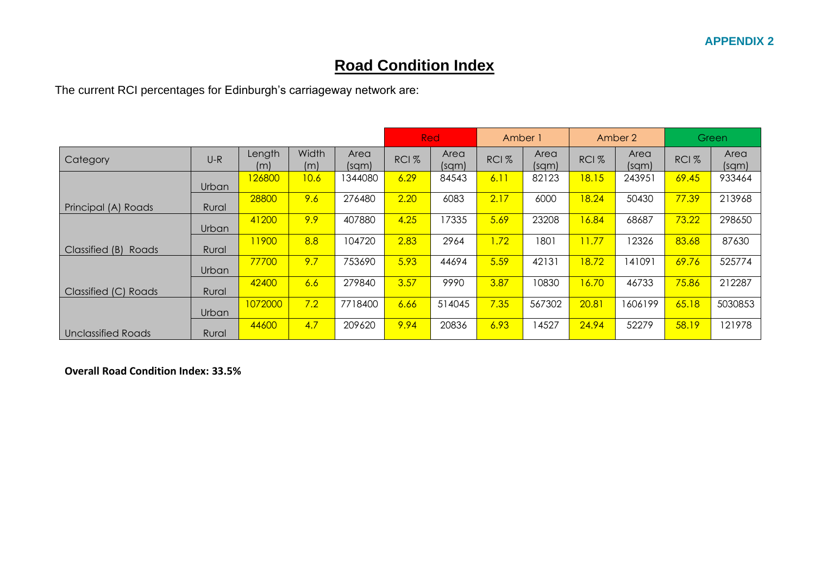## **Road Condition Index**

The current RCI percentages for Edinburgh's carriageway network are:

|                           |              |               |              |               | Red<br>Amber 1   |               |                  | Amber 2       |                  | Green         |                  |               |
|---------------------------|--------------|---------------|--------------|---------------|------------------|---------------|------------------|---------------|------------------|---------------|------------------|---------------|
| Category                  | $U-R$        | Length<br>(m) | Width<br>(m) | Area<br>(sqm) | RCI <sub>%</sub> | Area<br>(sqm) | RCI <sub>%</sub> | Area<br>(sqm) | RCI <sub>%</sub> | Area<br>(sqm) | RCI <sub>%</sub> | Area<br>(sqm) |
|                           | Urban        | 126800        | 10.6         | 1344080       | 6.29             | 84543         | 6.11             | 82123         | 18.15            | 243951        | 69.45            | 933464        |
| Principal (A) Roads       | Rural        | 28800         | 9.6          | 276480        | 2.20             | 6083          | 2.17             | 6000          | 18.24            | 50430         | 77.39            | 213968        |
|                           | Urban        | 41200         | 9.9          | 407880        | 4.25             | 17335         | 5.69             | 23208         | 16.84            | 68687         | 73.22            | 298650        |
| Classified (B)<br>Roads   | Rural        | 11900         | 8.8          | 104720        | 2.83             | 2964          | 1.72             | 1801          | 11.77            | 12326         | 83.68            | 87630         |
|                           | Urban        | 77700         | 9.7          | 753690        | 5.93             | 44694         | 5.59             | 42131         | 18.72            | 141091        | 69.76            | 525774        |
| Classified (C) Roads      | Rural        | 42400         | 6.6          | 279840        | 3.57             | 9990          | 3.87             | 10830         | 16.70            | 46733         | 75.86            | 212287        |
|                           | <b>Urban</b> | 1072000       | 7.2          | 7718400       | 6.66             | 514045        | 7.35             | 567302        | 20.81            | 1606199       | 65.18            | 5030853       |
| <b>Unclassified Roads</b> | Rural        | 44600         | 4.7          | 209620        | 9.94             | 20836         | 6.93             | 14527         | 24.94            | 52279         | 58.19            | 121978        |

**Overall Road Condition Index: 33.5%**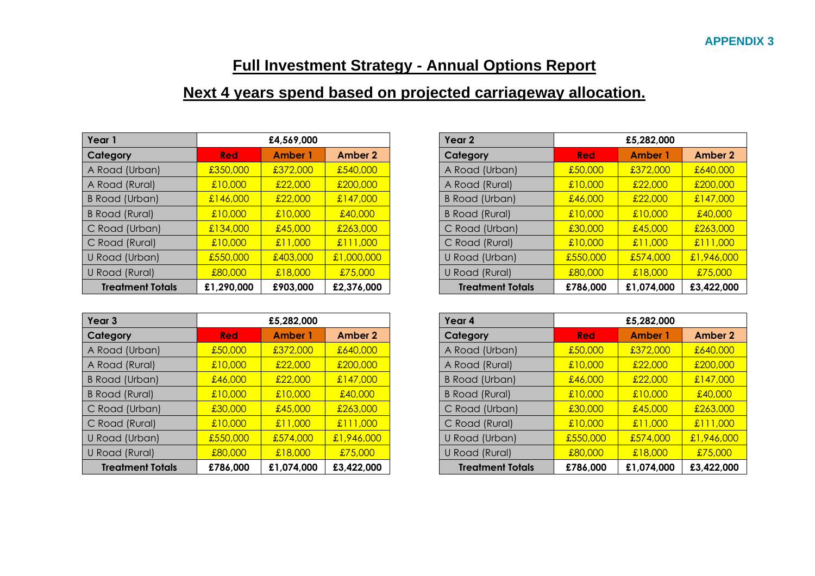## **Full Investment Strategy - Annual Options Report**

## **Next 4 years spend based on projected carriageway allocation.**

| Year 1                  |            | £4,569,000     |                | Year 2                  | £5,282,000 |                |                |
|-------------------------|------------|----------------|----------------|-------------------------|------------|----------------|----------------|
| Category                | <b>Red</b> | <b>Amber 1</b> | <b>Amber 2</b> | Category                | <b>Red</b> | <b>Amber 1</b> | <b>Amber 2</b> |
| A Road (Urban)          | £350,000   | £372,000       | £540,000       | A Road (Urban)          | £50,000    | £372,000       | £640,000       |
| A Road (Rural)          | £10,000    | £22,000        | £200,000       | A Road (Rural)          | £10,000    | £22,000        | £200,000       |
| <b>B Road (Urban)</b>   | £146,000   | £22,000        | £147,000       | <b>B Road (Urban)</b>   | £46,000    | £22,000        | £147,000       |
| <b>B Road (Rural)</b>   | £10,000    | £10,000        | £40,000        | <b>B Road (Rural)</b>   | £10,000    | £10,000        | £40,000        |
| C Road (Urban)          | £134,000   | £45,000        | £263,000       | C Road (Urban)          | £30,000    | £45,000        | £263,000       |
| C Road (Rural)          | £10,000    | £11,000        | £111,000       | C Road (Rural)          | £10,000    | £11,000        | £111,000       |
| U Road (Urban)          | £550,000   | £403,000       | £1,000,000     | U Road (Urban)          | £550,000   | £574,000       | £1,946,000     |
| U Road (Rural)          | £80,000    | £18,000        | £75,000        | U Road (Rural)          | £80,000    | £18,000        | £75,000        |
| <b>Treatment Totals</b> | £1,290,000 | £903,000       | £2,376,000     | <b>Treatment Totals</b> | £786,000   | £1,074,000     | £3,422,000     |

| Year 3                  |            | £5,282,000     |            |
|-------------------------|------------|----------------|------------|
| Category                | <b>Red</b> | <b>Amber 1</b> | Amber 2    |
| A Road (Urban)          | £50,000    | £372,000       | £640,000   |
| A Road (Rural)          | £10,000    | £22,000        | £200,000   |
| B Road (Urban)          | £46,000    | £22,000        | £147,000   |
| <b>B Road (Rural)</b>   | £10,000    | £10,000        | £40,000    |
| C Road (Urban)          | £30,000    | £45,000        | £263,000   |
| C Road (Rural)          | £10,000    | £11,000        | £111,000   |
| U Road (Urban)          | £550,000   | £574,000       | £1,946,000 |
| U Road (Rural)          | £80,000    | £18,000        | £75,000    |
| <b>Treatment Totals</b> | £786,000   | £1,074,000     | £3,422,000 |

| ar 1                    |            | £4,569,000     |            |
|-------------------------|------------|----------------|------------|
| tegory                  | <b>Red</b> | <b>Amber 1</b> | Amber 2    |
| oad (Urban):            | £350,000   | £372,000       | £540,000   |
| oad (Rural):            | £10,000    | £22,000        | £200,000   |
| oad (Urban)             | £146,000   | £22,000        | £147,000   |
| oad (Rural)             | £10,000    | £10,000        | £40,000    |
| cad (Urban)             | £134,000   | £45,000        | £263,000   |
| oad (Rural)             | £10,000    | £11,000        | £111,000   |
| oad (Urban)             | £550,000   | £403,000       | £1,000,000 |
| oad (Rural)             | £80,000    | £18,000        | £75,000    |
| <b>Treatment Totals</b> | £1,290,000 | £903,000       | £2,376,000 |

| Year 3                  |            | £5,282,000                |            |  |  |
|-------------------------|------------|---------------------------|------------|--|--|
| Category                | <b>Red</b> | <b>Amber 1</b>            | Amber 2    |  |  |
| A Road (Urban)          | £50,000    | £372,000                  | £640,000   |  |  |
| A Road (Rural)          | £10,000    | £22,000                   | £200,000   |  |  |
| B Road (Urban)          | £46,000    | £22,000                   | £147,000   |  |  |
| <b>B Road (Rural)</b>   | £10,000    | £10,000                   | £40,000    |  |  |
| C Road (Urban)          | £30,000    | £45,000                   | £263,000   |  |  |
| C Road (Rural)          | £10,000    | £11,000                   | £111,000   |  |  |
| U Road (Urban)          | £550,000   | $\frac{1.574,000}{1.000}$ | £1,946,000 |  |  |
| U Road (Rural)          | £80,000    | £18,000                   | £75,000    |  |  |
| <b>Treatment Totals</b> | £786,000   | £1,074,000                | £3,422,000 |  |  |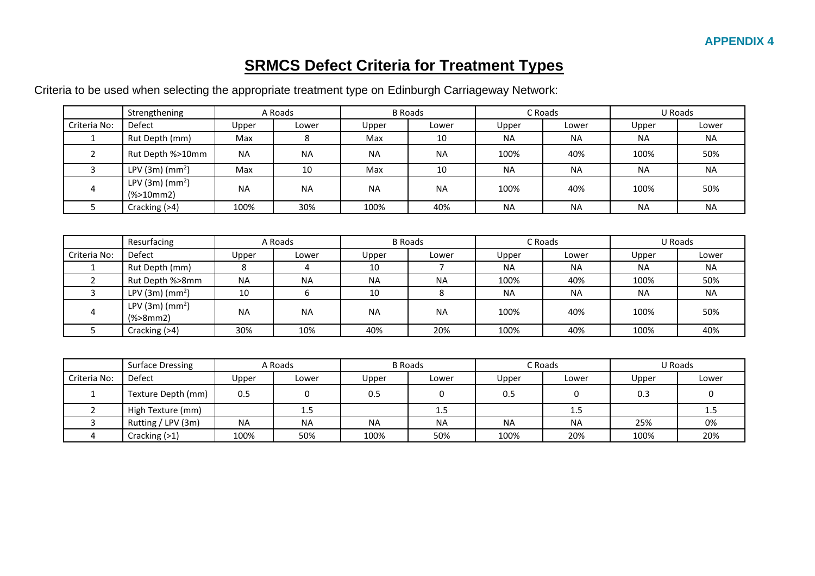## **SRMCS Defect Criteria for Treatment Types**

Criteria to be used when selecting the appropriate treatment type on Edinburgh Carriageway Network:

|              | Strengthening                                            |           | A Roads   |           | <b>B</b> Roads |           | C Roads   |           | U Roads   |
|--------------|----------------------------------------------------------|-----------|-----------|-----------|----------------|-----------|-----------|-----------|-----------|
| Criteria No: | <b>Defect</b>                                            | Upper     | Lower     | Upper     | Lower          | Upper     | Lower     | Upper     | Lower     |
| 1            | Rut Depth (mm)                                           | Max       | 8         | Max       | 10             | <b>NA</b> | <b>NA</b> | <b>NA</b> | <b>NA</b> |
| 2            | Rut Depth %>10mm                                         | <b>NA</b> | <b>NA</b> | <b>NA</b> | <b>NA</b>      | 100%      | 40%       | 100%      | 50%       |
| 3            | LPV $(3m)$ (mm <sup>2</sup> )                            | Max       | 10        | Max       | 10             | <b>NA</b> | <b>NA</b> | <b>NA</b> | <b>NA</b> |
| 4            | LPV $(3m)$ (mm <sup>2</sup> )<br>$(% )^{2}(2)$ (%>10mm2) | <b>NA</b> | <b>NA</b> | <b>NA</b> | <b>NA</b>      | 100%      | 40%       | 100%      | 50%       |
| 5            | Cracking (>4)                                            | 100%      | 30%       | 100%      | 40%            | <b>NA</b> | <b>NA</b> | <b>NA</b> | <b>NA</b> |
|              | Resurfacing                                              |           | A Roads   |           | <b>B</b> Roads |           | C Roads   |           | U Roads   |
| Criteria No: | <b>Defect</b>                                            | Upper     | Lower     | Upper     | Lower          | Upper     | Lower     | Upper     | Lower     |
| 1            | Rut Depth (mm)                                           | 8         | 4         | 10        | 7              | <b>NA</b> | <b>NA</b> | <b>NA</b> | <b>NA</b> |
| 2            | Rut Depth %>8mm                                          | <b>NA</b> | <b>NA</b> | <b>NA</b> | <b>NA</b>      | 100%      | 40%       | 100%      | 50%       |
| 3            | LPV(3m)(mm <sup>2</sup> )                                | 10        | 6         | 10        | 8              | <b>NA</b> | <b>NA</b> | <b>NA</b> | <b>NA</b> |
| 4            | LPV $(3m)$ (mm <sup>2</sup> )<br>$(% )^{2}$ (%>8mm2)     | <b>NA</b> | <b>NA</b> | <b>NA</b> | <b>NA</b>      | 100%      | 40%       | 100%      | 50%       |
| 5            | Cracking (>4)                                            | 30%       | 10%       | 40%       | 20%            | 100%      | 40%       | 100%      | 40%       |
|              |                                                          |           |           |           |                |           |           |           |           |
|              | <b>Surface Dressing</b>                                  |           | A Roads   |           | <b>B</b> Roads |           | C Roads   |           | U Roads   |
| Criteria No: | Defect                                                   | Upper     | Lower     | Upper     | Lower          | Upper     | Lower     | Upper     | Lower     |

|              | Surface Dressing   |           | A Roads   | B Roads   |           |           | c Roads.  | u Roads |       |  |
|--------------|--------------------|-----------|-----------|-----------|-----------|-----------|-----------|---------|-------|--|
| Criteria No: | <b>Defect</b>      | Upper     | Lower     | Upper     | Lower     | Upper     | Lower     | Upper   | Lower |  |
|              | Texture Depth (mm) | 0.5       |           | 0.5       |           | 0.5       |           | 0.3     |       |  |
|              | High Texture (mm)  |           | 1.5       |           | 1.5       |           | 1.5       |         | ر 1   |  |
|              | Rutting / LPV (3m) | <b>NA</b> | <b>NA</b> | <b>NA</b> | <b>NA</b> | <b>NA</b> | <b>NA</b> | 25%     | 0%    |  |
|              | Cracking (>1)      | 100%      | 50%       | 100%      | 50%       | 100%      | 20%       | 100%    | 20%   |  |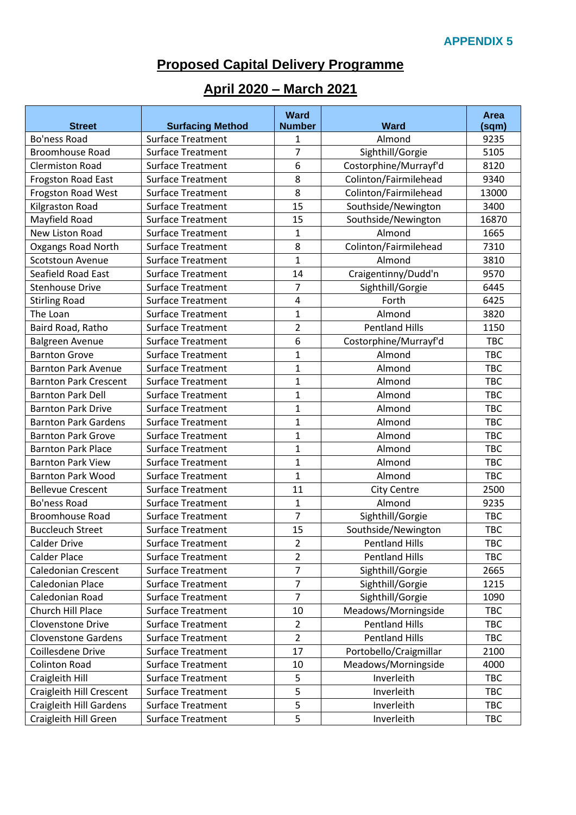## **Proposed Capital Delivery Programme**

## **April 2020 – March 2021**

| <b>Street</b>                | <b>Surfacing Method</b>  | <b>Ward</b><br><b>Number</b> | <b>Ward</b>            | Area<br>(sqm) |
|------------------------------|--------------------------|------------------------------|------------------------|---------------|
| <b>Bo'ness Road</b>          | <b>Surface Treatment</b> | 1                            | Almond                 | 9235          |
| <b>Broomhouse Road</b>       | <b>Surface Treatment</b> | $\overline{7}$               | Sighthill/Gorgie       | 5105          |
| <b>Clermiston Road</b>       | <b>Surface Treatment</b> | 6                            | Costorphine/Murrayf'd  | 8120          |
| Frogston Road East           | <b>Surface Treatment</b> | 8                            | Colinton/Fairmilehead  | 9340          |
| Frogston Road West           | <b>Surface Treatment</b> | 8                            | Colinton/Fairmilehead  | 13000         |
| Kilgraston Road              | <b>Surface Treatment</b> | 15                           | Southside/Newington    | 3400          |
| Mayfield Road                | <b>Surface Treatment</b> | 15                           | Southside/Newington    | 16870         |
| New Liston Road              | <b>Surface Treatment</b> | $\mathbf{1}$                 | Almond                 | 1665          |
| Oxgangs Road North           | <b>Surface Treatment</b> | 8                            | Colinton/Fairmilehead  | 7310          |
| Scotstoun Avenue             | <b>Surface Treatment</b> | $\mathbf{1}$                 | Almond                 | 3810          |
| <b>Seafield Road East</b>    | <b>Surface Treatment</b> | 14                           | Craigentinny/Dudd'n    | 9570          |
| <b>Stenhouse Drive</b>       | <b>Surface Treatment</b> | $\overline{7}$               | Sighthill/Gorgie       | 6445          |
| <b>Stirling Road</b>         | <b>Surface Treatment</b> | $\overline{4}$               | Forth                  | 6425          |
| The Loan                     | <b>Surface Treatment</b> | 1                            | Almond                 | 3820          |
| Baird Road, Ratho            | <b>Surface Treatment</b> | $\overline{2}$               | <b>Pentland Hills</b>  | 1150          |
| <b>Balgreen Avenue</b>       | <b>Surface Treatment</b> | 6                            | Costorphine/Murrayf'd  | <b>TBC</b>    |
| <b>Barnton Grove</b>         | <b>Surface Treatment</b> | 1                            | Almond                 | <b>TBC</b>    |
| <b>Barnton Park Avenue</b>   | <b>Surface Treatment</b> | 1                            | Almond                 | <b>TBC</b>    |
| <b>Barnton Park Crescent</b> | <b>Surface Treatment</b> | $\mathbf{1}$                 | Almond                 | <b>TBC</b>    |
| <b>Barnton Park Dell</b>     | <b>Surface Treatment</b> | $\mathbf{1}$                 | Almond                 | <b>TBC</b>    |
| <b>Barnton Park Drive</b>    | <b>Surface Treatment</b> | 1                            | Almond                 | <b>TBC</b>    |
| <b>Barnton Park Gardens</b>  | <b>Surface Treatment</b> | $\mathbf{1}$                 | Almond                 | <b>TBC</b>    |
| <b>Barnton Park Grove</b>    | <b>Surface Treatment</b> | 1                            | Almond                 | <b>TBC</b>    |
| <b>Barnton Park Place</b>    | <b>Surface Treatment</b> | 1                            | Almond                 | <b>TBC</b>    |
| <b>Barnton Park View</b>     | <b>Surface Treatment</b> | $\mathbf 1$                  | Almond                 | <b>TBC</b>    |
| <b>Barnton Park Wood</b>     | <b>Surface Treatment</b> | $\mathbf 1$                  | Almond                 | <b>TBC</b>    |
| <b>Bellevue Crescent</b>     | <b>Surface Treatment</b> | 11                           | <b>City Centre</b>     | 2500          |
| Bo'ness Road                 | <b>Surface Treatment</b> | $\mathbf{1}$                 | Almond                 | 9235          |
| <b>Broomhouse Road</b>       | <b>Surface Treatment</b> | $\overline{7}$               | Sighthill/Gorgie       | <b>TBC</b>    |
| <b>Buccleuch Street</b>      | <b>Surface Treatment</b> | 15                           | Southside/Newington    | <b>TBC</b>    |
| <b>Calder Drive</b>          | <b>Surface Treatment</b> | $\overline{2}$               | <b>Pentland Hills</b>  | <b>TBC</b>    |
| <b>Calder Place</b>          | <b>Surface Treatment</b> | $\overline{2}$               | <b>Pentland Hills</b>  | <b>TBC</b>    |
| <b>Caledonian Crescent</b>   | Surface Treatment        | 7                            | Sighthill/Gorgie       | 2665          |
| Caledonian Place             | Surface Treatment        | $\overline{7}$               | Sighthill/Gorgie       | 1215          |
| Caledonian Road              | <b>Surface Treatment</b> | $\overline{7}$               | Sighthill/Gorgie       | 1090          |
| Church Hill Place            | <b>Surface Treatment</b> | 10                           | Meadows/Morningside    | <b>TBC</b>    |
| Clovenstone Drive            | Surface Treatment        | $\overline{2}$               | <b>Pentland Hills</b>  | TBC           |
| <b>Clovenstone Gardens</b>   | <b>Surface Treatment</b> | $\overline{2}$               | <b>Pentland Hills</b>  | <b>TBC</b>    |
| Coillesdene Drive            | <b>Surface Treatment</b> | 17                           | Portobello/Craigmillar | 2100          |
| <b>Colinton Road</b>         | Surface Treatment        | 10                           | Meadows/Morningside    | 4000          |
| Craigleith Hill              | Surface Treatment        | 5                            | Inverleith             | <b>TBC</b>    |
| Craigleith Hill Crescent     | <b>Surface Treatment</b> | 5                            | Inverleith             | TBC           |
| Craigleith Hill Gardens      | <b>Surface Treatment</b> | 5                            | Inverleith             | TBC           |
| Craigleith Hill Green        | Surface Treatment        | 5                            | Inverleith             | TBC           |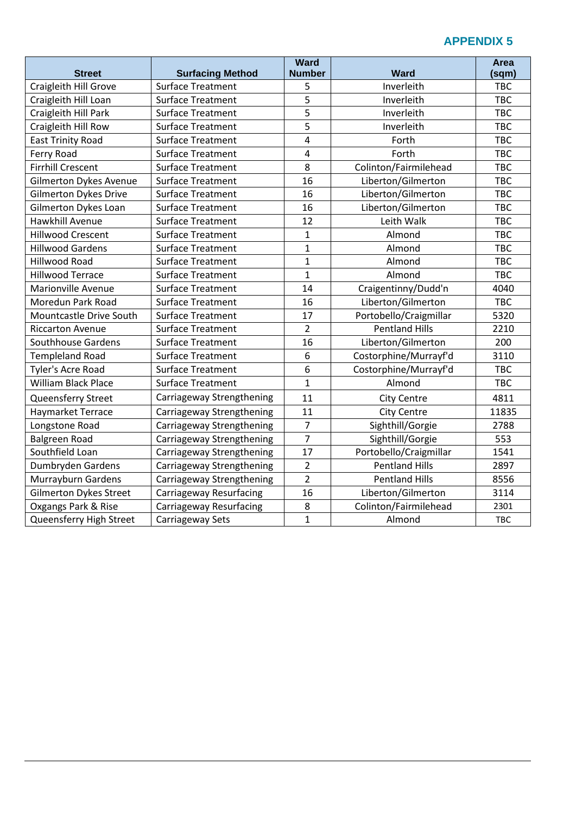|                               |                           | <b>Ward</b>    |                        | <b>Area</b> |
|-------------------------------|---------------------------|----------------|------------------------|-------------|
| <b>Street</b>                 | <b>Surfacing Method</b>   | <b>Number</b>  | <b>Ward</b>            | (sqm)       |
| Craigleith Hill Grove         | <b>Surface Treatment</b>  | 5              | Inverleith             | <b>TBC</b>  |
| Craigleith Hill Loan          | <b>Surface Treatment</b>  | 5              | Inverleith             | <b>TBC</b>  |
| Craigleith Hill Park          | <b>Surface Treatment</b>  | 5              | Inverleith             | <b>TBC</b>  |
| Craigleith Hill Row           | <b>Surface Treatment</b>  | 5              | Inverleith             | <b>TBC</b>  |
| <b>East Trinity Road</b>      | <b>Surface Treatment</b>  | 4              | Forth                  | <b>TBC</b>  |
| Ferry Road                    | <b>Surface Treatment</b>  | $\overline{4}$ | Forth                  | <b>TBC</b>  |
| <b>Firrhill Crescent</b>      | <b>Surface Treatment</b>  | 8              | Colinton/Fairmilehead  | <b>TBC</b>  |
| <b>Gilmerton Dykes Avenue</b> | <b>Surface Treatment</b>  | 16             | Liberton/Gilmerton     | <b>TBC</b>  |
| <b>Gilmerton Dykes Drive</b>  | <b>Surface Treatment</b>  | 16             | Liberton/Gilmerton     | <b>TBC</b>  |
| Gilmerton Dykes Loan          | <b>Surface Treatment</b>  | 16             | Liberton/Gilmerton     | <b>TBC</b>  |
| Hawkhill Avenue               | <b>Surface Treatment</b>  | 12             | Leith Walk             | <b>TBC</b>  |
| <b>Hillwood Crescent</b>      | <b>Surface Treatment</b>  | $\mathbf{1}$   | Almond                 | <b>TBC</b>  |
| <b>Hillwood Gardens</b>       | <b>Surface Treatment</b>  | $\overline{1}$ | Almond                 | <b>TBC</b>  |
| <b>Hillwood Road</b>          | <b>Surface Treatment</b>  | $\mathbf{1}$   | Almond                 | <b>TBC</b>  |
| <b>Hillwood Terrace</b>       | <b>Surface Treatment</b>  | $\mathbf{1}$   | Almond                 | <b>TBC</b>  |
| <b>Marionville Avenue</b>     | <b>Surface Treatment</b>  | 14             | Craigentinny/Dudd'n    | 4040        |
| Moredun Park Road             | <b>Surface Treatment</b>  | 16             | Liberton/Gilmerton     | <b>TBC</b>  |
| Mountcastle Drive South       | <b>Surface Treatment</b>  | 17             | Portobello/Craigmillar | 5320        |
| <b>Riccarton Avenue</b>       | <b>Surface Treatment</b>  | $\overline{2}$ | <b>Pentland Hills</b>  | 2210        |
| <b>Southhouse Gardens</b>     | <b>Surface Treatment</b>  | 16             | Liberton/Gilmerton     | 200         |
| <b>Templeland Road</b>        | <b>Surface Treatment</b>  | 6              | Costorphine/Murrayf'd  | 3110        |
| Tyler's Acre Road             | <b>Surface Treatment</b>  | 6              | Costorphine/Murrayf'd  | <b>TBC</b>  |
| <b>William Black Place</b>    | <b>Surface Treatment</b>  | $\mathbf{1}$   | Almond                 | <b>TBC</b>  |
| Queensferry Street            | Carriageway Strengthening | 11             | City Centre            | 4811        |
| Haymarket Terrace             | Carriageway Strengthening | 11             | <b>City Centre</b>     | 11835       |
| Longstone Road                | Carriageway Strengthening | $\overline{7}$ | Sighthill/Gorgie       | 2788        |
| Balgreen Road                 | Carriageway Strengthening | $\overline{7}$ | Sighthill/Gorgie       | 553         |
| Southfield Loan               | Carriageway Strengthening | 17             | Portobello/Craigmillar | 1541        |
| Dumbryden Gardens             | Carriageway Strengthening | $\overline{2}$ | <b>Pentland Hills</b>  | 2897        |
| Murrayburn Gardens            | Carriageway Strengthening | $\overline{2}$ | <b>Pentland Hills</b>  | 8556        |
| <b>Gilmerton Dykes Street</b> | Carriageway Resurfacing   | 16             | Liberton/Gilmerton     | 3114        |
| Oxgangs Park & Rise           | Carriageway Resurfacing   | 8              | Colinton/Fairmilehead  | 2301        |
| Queensferry High Street       | Carriageway Sets          | $\mathbf{1}$   | Almond                 | <b>TBC</b>  |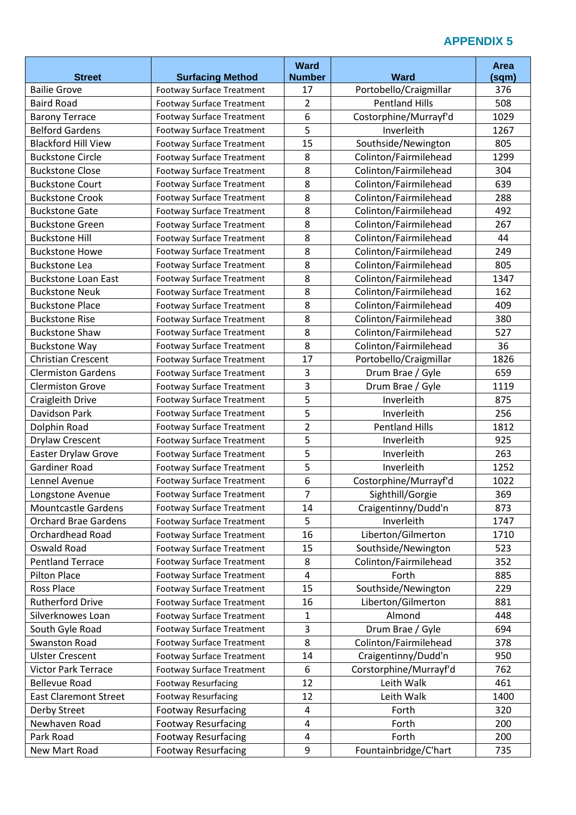|                                                   |                                                               | <b>Ward</b>         |                                                | Area         |
|---------------------------------------------------|---------------------------------------------------------------|---------------------|------------------------------------------------|--------------|
| <b>Street</b><br><b>Bailie Grove</b>              | <b>Surfacing Method</b><br><b>Footway Surface Treatment</b>   | <b>Number</b><br>17 | <b>Ward</b><br>Portobello/Craigmillar          | (sqm)<br>376 |
| <b>Baird Road</b>                                 | Footway Surface Treatment                                     | $\overline{2}$      | <b>Pentland Hills</b>                          | 508          |
| <b>Barony Terrace</b>                             | Footway Surface Treatment                                     | 6                   | Costorphine/Murrayf'd                          | 1029         |
| <b>Belford Gardens</b>                            |                                                               | 5                   | Inverleith                                     | 1267         |
| <b>Blackford Hill View</b>                        | Footway Surface Treatment                                     | 15                  |                                                | 805          |
|                                                   | Footway Surface Treatment<br><b>Footway Surface Treatment</b> | 8                   | Southside/Newington                            |              |
| <b>Buckstone Circle</b><br><b>Buckstone Close</b> |                                                               | 8                   | Colinton/Fairmilehead<br>Colinton/Fairmilehead | 1299<br>304  |
| <b>Buckstone Court</b>                            | Footway Surface Treatment                                     | 8                   | Colinton/Fairmilehead                          | 639          |
| <b>Buckstone Crook</b>                            | Footway Surface Treatment                                     | 8                   | Colinton/Fairmilehead                          | 288          |
| <b>Buckstone Gate</b>                             | Footway Surface Treatment                                     | 8                   | Colinton/Fairmilehead                          | 492          |
| <b>Buckstone Green</b>                            | <b>Footway Surface Treatment</b>                              | 8                   | Colinton/Fairmilehead                          | 267          |
|                                                   | Footway Surface Treatment                                     |                     |                                                |              |
| <b>Buckstone Hill</b>                             | <b>Footway Surface Treatment</b>                              | 8                   | Colinton/Fairmilehead                          | 44           |
| <b>Buckstone Howe</b>                             | Footway Surface Treatment                                     | 8<br>8              | Colinton/Fairmilehead                          | 249          |
| <b>Buckstone Lea</b>                              | Footway Surface Treatment                                     |                     | Colinton/Fairmilehead                          | 805          |
| <b>Buckstone Loan East</b>                        | Footway Surface Treatment                                     | 8                   | Colinton/Fairmilehead                          | 1347         |
| <b>Buckstone Neuk</b>                             | <b>Footway Surface Treatment</b>                              | 8                   | Colinton/Fairmilehead                          | 162          |
| <b>Buckstone Place</b>                            | <b>Footway Surface Treatment</b>                              | 8                   | Colinton/Fairmilehead                          | 409          |
| <b>Buckstone Rise</b>                             | <b>Footway Surface Treatment</b>                              | 8                   | Colinton/Fairmilehead                          | 380          |
| <b>Buckstone Shaw</b>                             | Footway Surface Treatment                                     | 8                   | Colinton/Fairmilehead                          | 527          |
| <b>Buckstone Way</b>                              | Footway Surface Treatment                                     | 8                   | Colinton/Fairmilehead                          | 36           |
| <b>Christian Crescent</b>                         | Footway Surface Treatment                                     | 17                  | Portobello/Craigmillar                         | 1826         |
| <b>Clermiston Gardens</b>                         | <b>Footway Surface Treatment</b>                              | $\overline{3}$      | Drum Brae / Gyle                               | 659          |
| <b>Clermiston Grove</b>                           | Footway Surface Treatment                                     | 3                   | Drum Brae / Gyle                               | 1119         |
| Craigleith Drive                                  | Footway Surface Treatment                                     | 5                   | Inverleith                                     | 875          |
| Davidson Park                                     | Footway Surface Treatment                                     | 5                   | Inverleith                                     | 256          |
| Dolphin Road                                      | Footway Surface Treatment                                     | $\overline{2}$      | <b>Pentland Hills</b>                          | 1812         |
| Drylaw Crescent                                   | Footway Surface Treatment                                     | 5                   | Inverleith                                     | 925          |
| Easter Drylaw Grove                               | Footway Surface Treatment                                     | 5                   | Inverleith                                     | 263          |
| <b>Gardiner Road</b>                              | Footway Surface Treatment                                     | 5                   | Inverleith                                     | 1252         |
| Lennel Avenue                                     | Footway Surface Treatment                                     | 6                   | Costorphine/Murrayf'd                          | 1022         |
| Longstone Avenue                                  | Footway Surface Treatment                                     | 7                   | Sighthill/Gorgie                               | 369          |
| <b>Mountcastle Gardens</b>                        | Footway Surface Treatment                                     | 14                  | Craigentinny/Dudd'n                            | 873          |
| <b>Orchard Brae Gardens</b>                       | <b>Footway Surface Treatment</b>                              | 5                   | Inverleith                                     | 1747         |
| <b>Orchardhead Road</b>                           | Footway Surface Treatment                                     | 16                  | Liberton/Gilmerton                             | 1710         |
| Oswald Road                                       | <b>Footway Surface Treatment</b>                              | 15                  | Southside/Newington                            | 523          |
| <b>Pentland Terrace</b>                           | Footway Surface Treatment                                     | 8                   | Colinton/Fairmilehead                          | 352          |
| <b>Pilton Place</b>                               | Footway Surface Treatment                                     | $\overline{4}$      | Forth                                          | 885          |
| Ross Place                                        | Footway Surface Treatment                                     | 15                  | Southside/Newington                            | 229          |
| <b>Rutherford Drive</b>                           | Footway Surface Treatment                                     | 16                  | Liberton/Gilmerton                             | 881          |
| Silverknowes Loan                                 | Footway Surface Treatment                                     | 1                   | Almond                                         | 448          |
| South Gyle Road                                   | <b>Footway Surface Treatment</b>                              | 3                   | Drum Brae / Gyle                               | 694          |
| <b>Swanston Road</b>                              | Footway Surface Treatment                                     | 8                   | Colinton/Fairmilehead                          | 378          |
| <b>Ulster Crescent</b>                            | <b>Footway Surface Treatment</b>                              | 14                  | Craigentinny/Dudd'n                            | 950          |
| <b>Victor Park Terrace</b>                        | <b>Footway Surface Treatment</b>                              | 6                   | Corstorphine/Murrayf'd                         | 762          |
| <b>Bellevue Road</b>                              | <b>Footway Resurfacing</b>                                    | 12                  | Leith Walk                                     | 461          |
| <b>East Claremont Street</b>                      | <b>Footway Resurfacing</b>                                    | 12                  | Leith Walk                                     | 1400         |
| Derby Street                                      | <b>Footway Resurfacing</b>                                    | 4                   | Forth                                          | 320          |
| Newhaven Road                                     | <b>Footway Resurfacing</b>                                    | $\overline{4}$      | Forth                                          | 200          |
| Park Road                                         | <b>Footway Resurfacing</b>                                    | 4                   | Forth                                          | 200          |
| New Mart Road                                     | <b>Footway Resurfacing</b>                                    | 9                   | Fountainbridge/C'hart                          | 735          |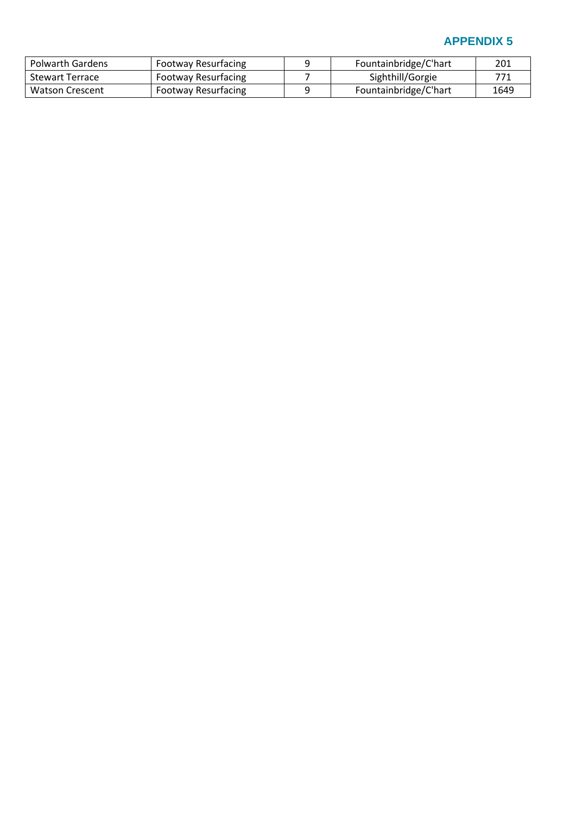| <b>Polwarth Gardens</b> | <b>Footway Resurfacing</b> | Fountainbridge/C'hart | 201  |
|-------------------------|----------------------------|-----------------------|------|
| <b>Stewart Terrace</b>  | <b>Footway Resurfacing</b> | Sighthill/Gorgie      | 771  |
| <b>Watson Crescent</b>  | <b>Footway Resurfacing</b> | Fountainbridge/C'hart | 1649 |